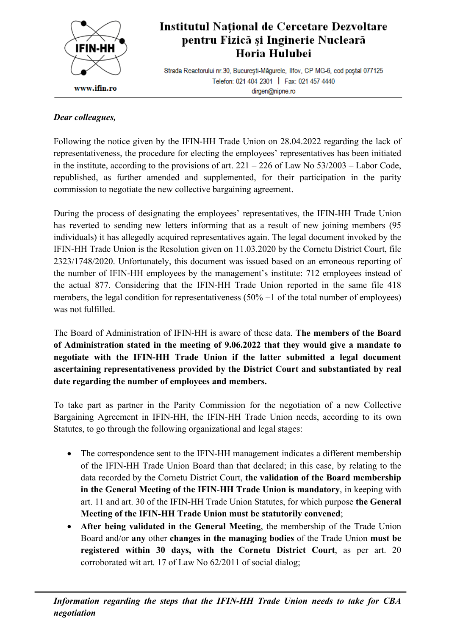

## Institutul Național de Cercetare Dezvoltare pentru Fizică și Inginerie Nucleară Horia Hulubei

Strada Reactorului nr.30, București-Măgurele, Ilfov, CP MG-6, cod poștal 077125 Telefon: 021 404 2301 | Fax: 021 457 4440 dirgen@nipne.ro

## *Dear colleagues,*

Following the notice given by the IFIN-HH Trade Union on 28.04.2022 regarding the lack of representativeness, the procedure for electing the employees' representatives has been initiated in the institute, according to the provisions of art.  $221 - 226$  of Law No  $53/2003 -$  Labor Code, republished, as further amended and supplemented, for their participation in the parity commission to negotiate the new collective bargaining agreement.

During the process of designating the employees' representatives, the IFIN-HH Trade Union has reverted to sending new letters informing that as a result of new joining members (95 individuals) it has allegedly acquired representatives again. The legal document invoked by the IFIN-HH Trade Union is the Resolution given on 11.03.2020 by the Cornetu District Court, file 2323/1748/2020. Unfortunately, this document was issued based on an erroneous reporting of the number of IFIN-HH employees by the management's institute: 712 employees instead of the actual 877. Considering that the IFIN-HH Trade Union reported in the same file 418 members, the legal condition for representativeness  $(50\% + 1)$  of the total number of employees) was not fulfilled.

The Board of Administration of IFIN-HH is aware of these data. **The members of the Board of Administration stated in the meeting of 9.06.2022 that they would give a mandate to negotiate with the IFIN-HH Trade Union if the latter submitted a legal document ascertaining representativeness provided by the District Court and substantiated by real date regarding the number of employees and members.**

To take part as partner in the Parity Commission for the negotiation of a new Collective Bargaining Agreement in IFIN-HH, the IFIN-HH Trade Union needs, according to its own Statutes, to go through the following organizational and legal stages:

- The correspondence sent to the IFIN-HH management indicates a different membership of the IFIN-HH Trade Union Board than that declared; in this case, by relating to the data recorded by the Cornetu District Court, **the validation of the Board membership in the General Meeting of the IFIN-HH Trade Union is mandatory**, in keeping with art. 11 and art. 30 of the IFIN-HH Trade Union Statutes, for which purpose **the General Meeting of the IFIN-HH Trade Union must be statutorily convened**;
- **After being validated in the General Meeting**, the membership of the Trade Union Board and/or **any** other **changes in the managing bodies** of the Trade Union **must be registered within 30 days, with the Cornetu District Court**, as per art. 20 corroborated wit art. 17 of Law No 62/2011 of social dialog;

*Information regarding the steps that the IFIN-HH Trade Union needs to take for CBA negotiation*